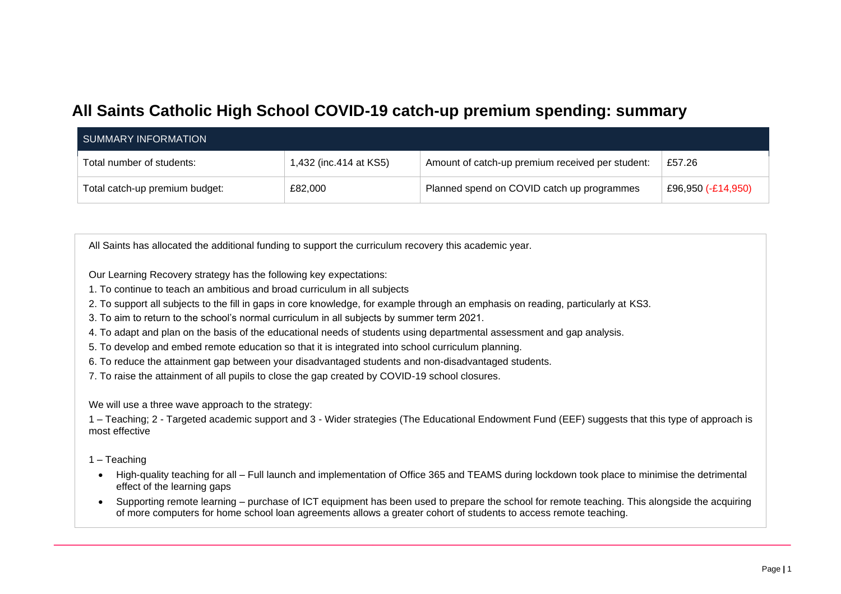# **All Saints Catholic High School COVID-19 catch-up premium spending: summary**

| SUMMARY INFORMATION            |                        |                                                  |                    |
|--------------------------------|------------------------|--------------------------------------------------|--------------------|
| Total number of students:      | 1,432 (inc.414 at KS5) | Amount of catch-up premium received per student: | £57.26             |
| Total catch-up premium budget: | £82,000                | Planned spend on COVID catch up programmes       | £96,950 (-£14,950) |

All Saints has allocated the additional funding to support the curriculum recovery this academic year.

Our Learning Recovery strategy has the following key expectations:

1. To continue to teach an ambitious and broad curriculum in all subjects

2. To support all subjects to the fill in gaps in core knowledge, for example through an emphasis on reading, particularly at KS3.

3. To aim to return to the school's normal curriculum in all subjects by summer term 2021.

4. To adapt and plan on the basis of the educational needs of students using departmental assessment and gap analysis.

5. To develop and embed remote education so that it is integrated into school curriculum planning.

6. To reduce the attainment gap between your disadvantaged students and non-disadvantaged students.

7. To raise the attainment of all pupils to close the gap created by COVID-19 school closures.

We will use a three wave approach to the strategy:

1 – Teaching; 2 - Targeted academic support and 3 - Wider strategies (The Educational Endowment Fund (EEF) suggests that this type of approach is most effective

1 – Teaching

- High-quality teaching for all Full launch and implementation of Office 365 and TEAMS during lockdown took place to minimise the detrimental effect of the learning gaps
- Supporting remote learning purchase of ICT equipment has been used to prepare the school for remote teaching. This alongside the acquiring of more computers for home school loan agreements allows a greater cohort of students to access remote teaching.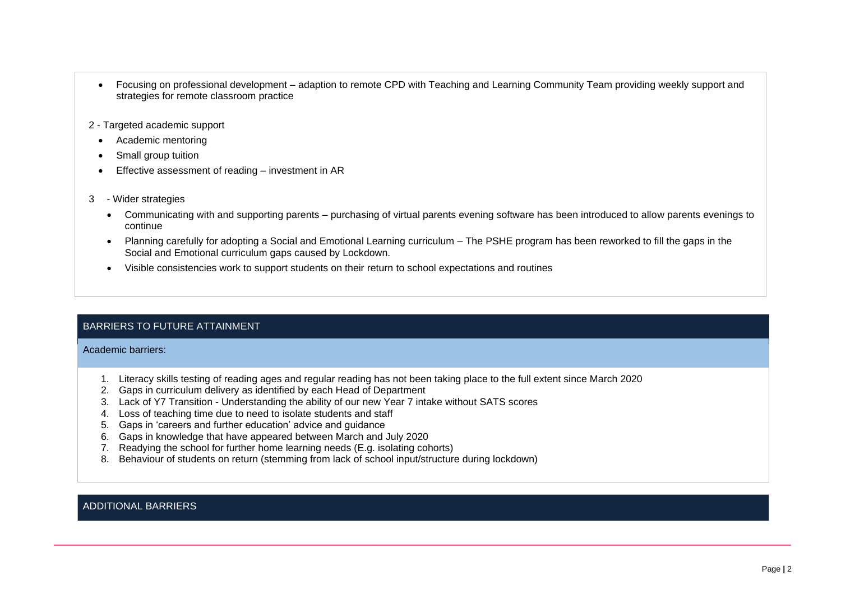- Focusing on professional development adaption to remote CPD with Teaching and Learning Community Team providing weekly support and strategies for remote classroom practice
- 2 Targeted academic support
- Academic mentoring
- Small group tuition
- Effective assessment of reading investment in AR
- 3 Wider strategies
	- Communicating with and supporting parents purchasing of virtual parents evening software has been introduced to allow parents evenings to continue
	- Planning carefully for adopting a Social and Emotional Learning curriculum The PSHE program has been reworked to fill the gaps in the Social and Emotional curriculum gaps caused by Lockdown.
	- Visible consistencies work to support students on their return to school expectations and routines

### BARRIERS TO FUTURE ATTAINMENT

Academic barriers:

- 1. Literacy skills testing of reading ages and regular reading has not been taking place to the full extent since March 2020
- 2. Gaps in curriculum delivery as identified by each Head of Department
- 3. Lack of Y7 Transition Understanding the ability of our new Year 7 intake without SATS scores
- 4. Loss of teaching time due to need to isolate students and staff
- 5. Gaps in 'careers and further education' advice and guidance
- 6. Gaps in knowledge that have appeared between March and July 2020
- 7. Readying the school for further home learning needs (E.g. isolating cohorts)
- 8. Behaviour of students on return (stemming from lack of school input/structure during lockdown)

### ADDITIONAL BARRIERS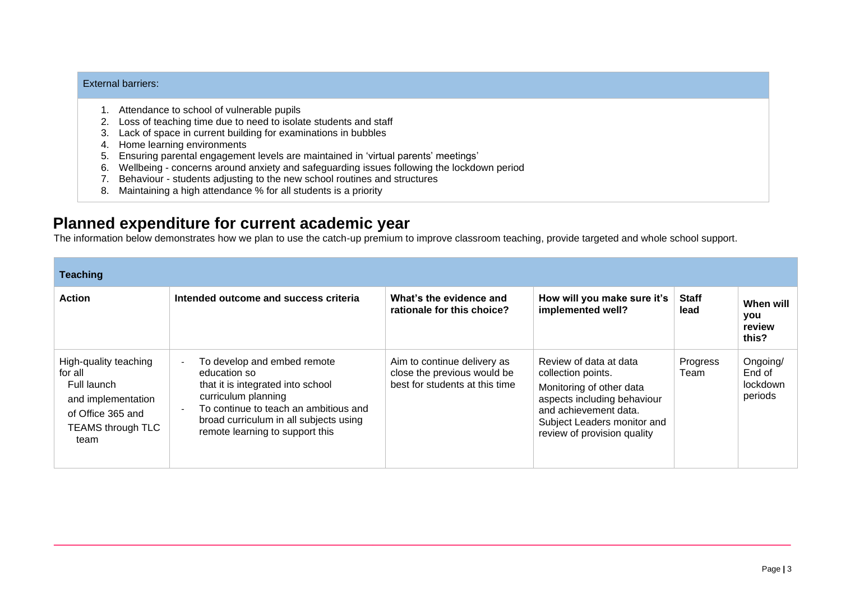#### External barriers:

- 1. Attendance to school of vulnerable pupils
- 2. Loss of teaching time due to need to isolate students and staff
- 3. Lack of space in current building for examinations in bubbles
- 4. Home learning environments
- 5. Ensuring parental engagement levels are maintained in 'virtual parents' meetings'
- 6. Wellbeing concerns around anxiety and safeguarding issues following the lockdown period
- 7. Behaviour students adjusting to the new school routines and structures
- 8. Maintaining a high attendance % for all students is a priority

## **Planned expenditure for current academic year**

The information below demonstrates how we plan to use the catch-up premium to improve classroom teaching, provide targeted and whole school support.

| <b>Teaching</b>                                                                                                                |                                                                                                                                                                                                                               |                                                                                              |                                                                                                                                                                                                |                      |                                           |  |
|--------------------------------------------------------------------------------------------------------------------------------|-------------------------------------------------------------------------------------------------------------------------------------------------------------------------------------------------------------------------------|----------------------------------------------------------------------------------------------|------------------------------------------------------------------------------------------------------------------------------------------------------------------------------------------------|----------------------|-------------------------------------------|--|
| <b>Action</b>                                                                                                                  | Intended outcome and success criteria                                                                                                                                                                                         | What's the evidence and<br>rationale for this choice?                                        | How will you make sure it's<br>implemented well?                                                                                                                                               | <b>Staff</b><br>lead | When will<br>you<br>review<br>this?       |  |
| High-quality teaching<br>for all<br>Full launch<br>and implementation<br>of Office 365 and<br><b>TEAMS through TLC</b><br>team | To develop and embed remote<br>education so<br>that it is integrated into school<br>curriculum planning<br>To continue to teach an ambitious and<br>broad curriculum in all subjects using<br>remote learning to support this | Aim to continue delivery as<br>close the previous would be<br>best for students at this time | Review of data at data<br>collection points.<br>Monitoring of other data<br>aspects including behaviour<br>and achievement data.<br>Subject Leaders monitor and<br>review of provision quality | Progress<br>Team     | Ongoing/<br>End of<br>lockdown<br>periods |  |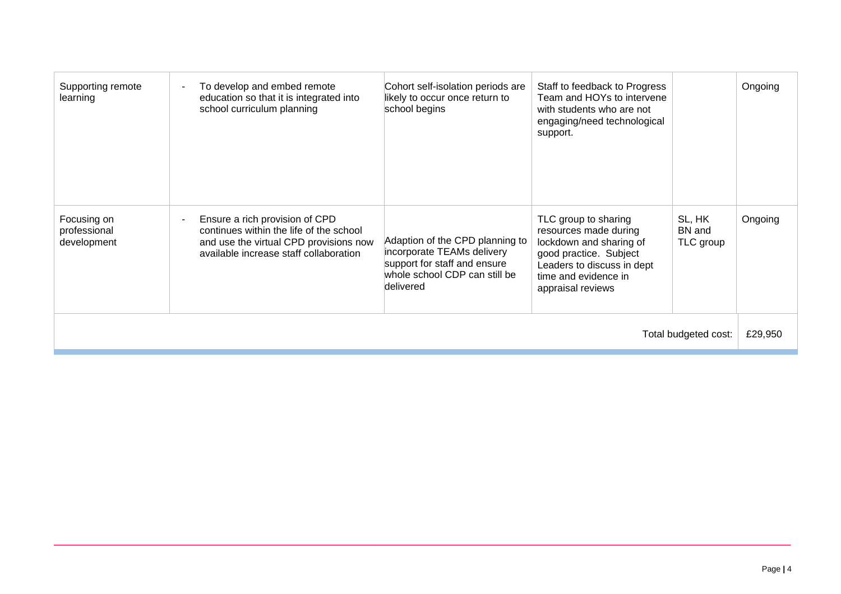| Supporting remote<br>learning              | To develop and embed remote<br>education so that it is integrated into<br>school curriculum planning                                                          | Cohort self-isolation periods are<br>likely to occur once return to<br>school begins                                                        | Staff to feedback to Progress<br>Team and HOYs to intervene<br>with students who are not<br>engaging/need technological<br>support.                                           |                               | Ongoing |
|--------------------------------------------|---------------------------------------------------------------------------------------------------------------------------------------------------------------|---------------------------------------------------------------------------------------------------------------------------------------------|-------------------------------------------------------------------------------------------------------------------------------------------------------------------------------|-------------------------------|---------|
| Focusing on<br>professional<br>development | Ensure a rich provision of CPD<br>continues within the life of the school<br>and use the virtual CPD provisions now<br>available increase staff collaboration | Adaption of the CPD planning to<br>incorporate TEAMs delivery<br>support for staff and ensure<br>whole school CDP can still be<br>delivered | TLC group to sharing<br>resources made during<br>lockdown and sharing of<br>good practice. Subject<br>Leaders to discuss in dept<br>time and evidence in<br>appraisal reviews | SL, HK<br>BN and<br>TLC group | Ongoing |
| Total budgeted cost:                       |                                                                                                                                                               |                                                                                                                                             |                                                                                                                                                                               |                               | £29,950 |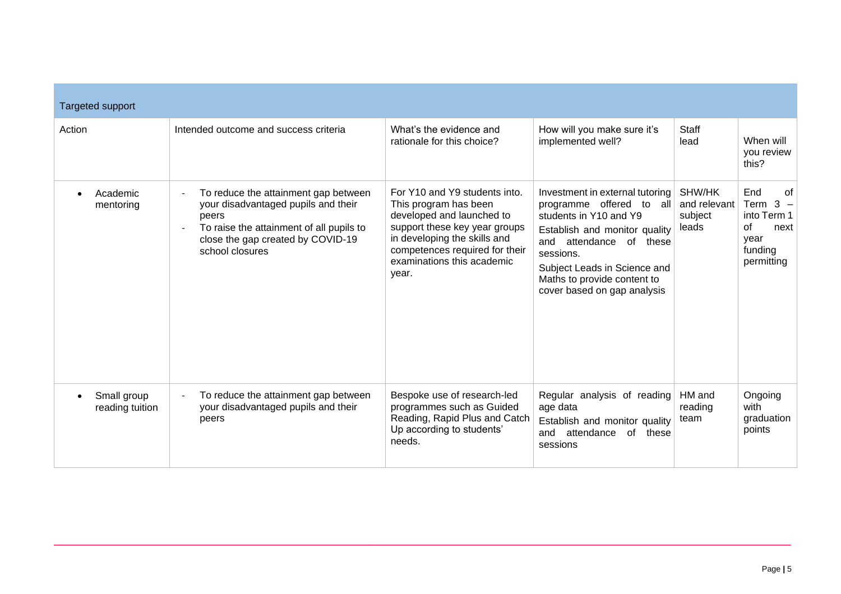| Targeted support                            |                                                                                                                                                                                          |                                                                                                                                                                                                                               |                                                                                                                                                                                                                                                              |                                            |                                                                                                               |
|---------------------------------------------|------------------------------------------------------------------------------------------------------------------------------------------------------------------------------------------|-------------------------------------------------------------------------------------------------------------------------------------------------------------------------------------------------------------------------------|--------------------------------------------------------------------------------------------------------------------------------------------------------------------------------------------------------------------------------------------------------------|--------------------------------------------|---------------------------------------------------------------------------------------------------------------|
| Action                                      | Intended outcome and success criteria                                                                                                                                                    | What's the evidence and<br>rationale for this choice?                                                                                                                                                                         | How will you make sure it's<br>implemented well?                                                                                                                                                                                                             | <b>Staff</b><br>lead                       | When will<br>you review<br>this?                                                                              |
| Academic<br>$\bullet$<br>mentoring          | To reduce the attainment gap between<br>your disadvantaged pupils and their<br>peers<br>To raise the attainment of all pupils to<br>close the gap created by COVID-19<br>school closures | For Y10 and Y9 students into.<br>This program has been<br>developed and launched to<br>support these key year groups<br>in developing the skills and<br>competences required for their<br>examinations this academic<br>year. | Investment in external tutoring<br>programme offered to all<br>students in Y10 and Y9<br>Establish and monitor quality<br>and attendance of these<br>sessions.<br>Subject Leads in Science and<br>Maths to provide content to<br>cover based on gap analysis | SHW/HK<br>and relevant<br>subject<br>leads | End<br>0f<br>Term 3<br>$\overline{\phantom{a}}$<br>into Term 1<br>of<br>next<br>year<br>funding<br>permitting |
| Small group<br>$\bullet$<br>reading tuition | To reduce the attainment gap between<br>your disadvantaged pupils and their<br>peers                                                                                                     | Bespoke use of research-led<br>programmes such as Guided<br>Reading, Rapid Plus and Catch<br>Up according to students'<br>needs.                                                                                              | Regular analysis of reading<br>age data<br>Establish and monitor quality<br>attendance<br>and<br>of these<br>sessions                                                                                                                                        | HM and<br>reading<br>team                  | Ongoing<br>with<br>graduation<br>points                                                                       |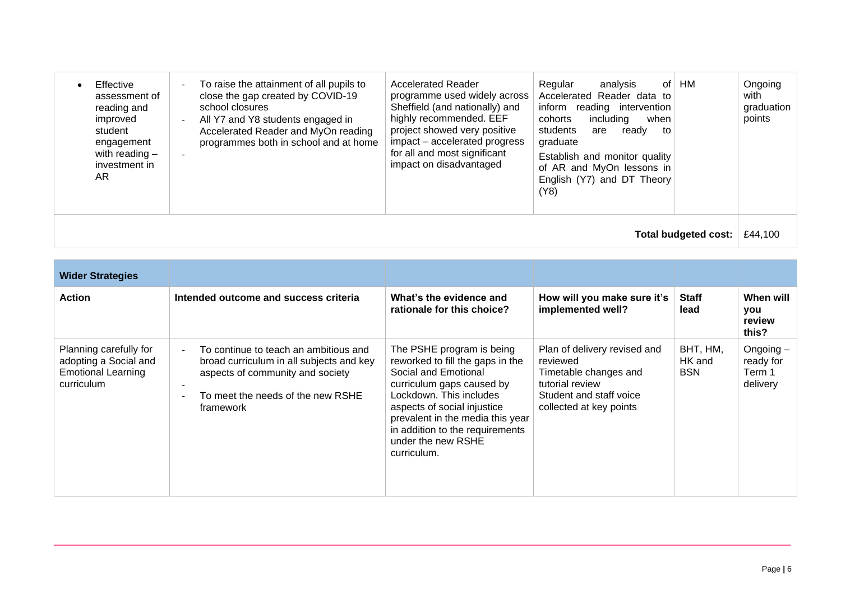| Effective<br>assessment of<br>reading and<br>improved<br>student<br>engagement<br>with reading $-$<br>investment in<br>AR. | To raise the attainment of all pupils to<br>close the gap created by COVID-19<br>school closures<br>All Y7 and Y8 students engaged in<br>Accelerated Reader and MyOn reading<br>programmes both in school and at home | <b>Accelerated Reader</b><br>programme used widely across<br>Sheffield (and nationally) and<br>highly recommended. EEF<br>project showed very positive<br>impact - accelerated progress<br>for all and most significant<br>impact on disadvantaged | Regular<br>analvsis<br>οf<br>Accelerated Reader data to<br>inform<br>reading intervention<br>including<br>cohorts<br>when<br>students<br>are<br>ready<br>to<br>graduate<br>Establish and monitor quality<br>of AR and MyOn lessons in<br>English (Y7) and DT Theory<br>(Y8) | HM | Ongoing<br>with<br>graduation<br>points |
|----------------------------------------------------------------------------------------------------------------------------|-----------------------------------------------------------------------------------------------------------------------------------------------------------------------------------------------------------------------|----------------------------------------------------------------------------------------------------------------------------------------------------------------------------------------------------------------------------------------------------|-----------------------------------------------------------------------------------------------------------------------------------------------------------------------------------------------------------------------------------------------------------------------------|----|-----------------------------------------|
| Total budgeted cost:                                                                                                       |                                                                                                                                                                                                                       |                                                                                                                                                                                                                                                    |                                                                                                                                                                                                                                                                             |    | £44.100                                 |

| <b>Wider Strategies</b>                                                                    |                                                                                                                                                                         |                                                                                                                                                                                                                                                                                          |                                                                                                                                            |                                  |                                                |
|--------------------------------------------------------------------------------------------|-------------------------------------------------------------------------------------------------------------------------------------------------------------------------|------------------------------------------------------------------------------------------------------------------------------------------------------------------------------------------------------------------------------------------------------------------------------------------|--------------------------------------------------------------------------------------------------------------------------------------------|----------------------------------|------------------------------------------------|
| <b>Action</b>                                                                              | Intended outcome and success criteria                                                                                                                                   | What's the evidence and<br>rationale for this choice?                                                                                                                                                                                                                                    | How will you make sure it's<br>implemented well?                                                                                           | <b>Staff</b><br>lead             | When will<br>you<br>review<br>this?            |
| Planning carefully for<br>adopting a Social and<br><b>Emotional Learning</b><br>curriculum | To continue to teach an ambitious and<br>broad curriculum in all subjects and key<br>aspects of community and society<br>To meet the needs of the new RSHE<br>framework | The PSHE program is being<br>reworked to fill the gaps in the<br>Social and Emotional<br>curriculum gaps caused by<br>Lockdown. This includes<br>aspects of social injustice<br>prevalent in the media this year<br>in addition to the requirements<br>under the new RSHE<br>curriculum. | Plan of delivery revised and<br>reviewed<br>Timetable changes and<br>tutorial review<br>Student and staff voice<br>collected at key points | BHT, HM,<br>HK and<br><b>BSN</b> | Ongoing $-$<br>ready for<br>Term 1<br>delivery |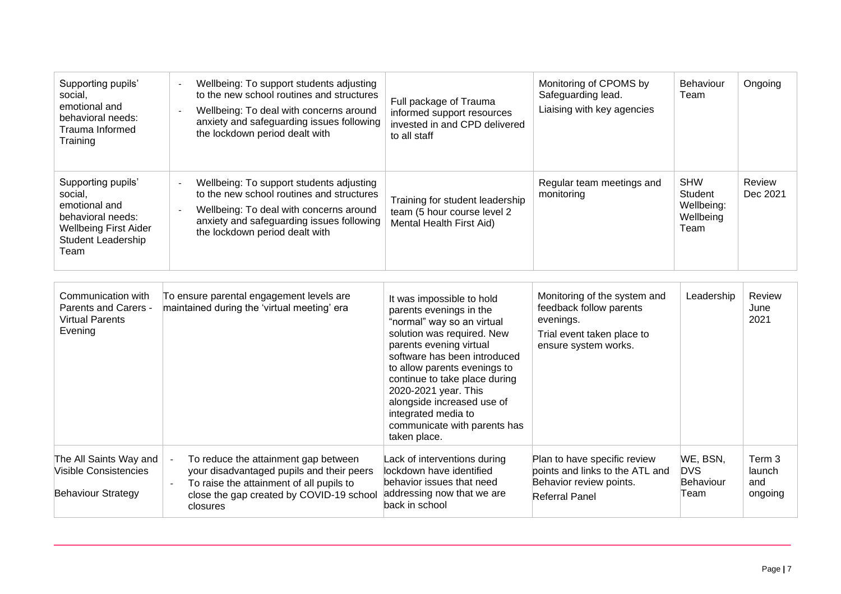| Supporting pupils'<br>social,<br>emotional and<br>behavioral needs:<br>Trauma Informed<br>Training                                       | Wellbeing: To support students adjusting<br>to the new school routines and structures<br>Wellbeing: To deal with concerns around<br>$\overline{\phantom{a}}$<br>anxiety and safeguarding issues following<br>the lockdown period dealt with | Full package of Trauma<br>informed support resources<br>invested in and CPD delivered<br>to all staff                                                                                                                                                                                                                                                                     | Monitoring of CPOMS by<br>Safeguarding lead.<br>Liaising with key agencies                                                 | Behaviour<br>Team                                        | Ongoing                            |
|------------------------------------------------------------------------------------------------------------------------------------------|---------------------------------------------------------------------------------------------------------------------------------------------------------------------------------------------------------------------------------------------|---------------------------------------------------------------------------------------------------------------------------------------------------------------------------------------------------------------------------------------------------------------------------------------------------------------------------------------------------------------------------|----------------------------------------------------------------------------------------------------------------------------|----------------------------------------------------------|------------------------------------|
| Supporting pupils'<br>social,<br>emotional and<br>behavioral needs:<br><b>Wellbeing First Aider</b><br><b>Student Leadership</b><br>Team | Wellbeing: To support students adjusting<br>to the new school routines and structures<br>Wellbeing: To deal with concerns around<br>anxiety and safeguarding issues following<br>the lockdown period dealt with                             | Training for student leadership<br>team (5 hour course level 2<br>Mental Health First Aid)                                                                                                                                                                                                                                                                                | Regular team meetings and<br>monitoring                                                                                    | <b>SHW</b><br>Student<br>Wellbeing:<br>Wellbeing<br>Team | Review<br>Dec 2021                 |
| Communication with<br>Parents and Carers -<br><b>Virtual Parents</b><br>Evening                                                          | To ensure parental engagement levels are<br>maintained during the 'virtual meeting' era                                                                                                                                                     | It was impossible to hold<br>parents evenings in the<br>"normal" way so an virtual<br>solution was required. New<br>parents evening virtual<br>software has been introduced<br>to allow parents evenings to<br>continue to take place during<br>2020-2021 year. This<br>alongside increased use of<br>integrated media to<br>communicate with parents has<br>taken place. | Monitoring of the system and<br>feedback follow parents<br>evenings.<br>Trial event taken place to<br>ensure system works. | Leadership                                               | Review<br>June<br>2021             |
| The All Saints Way and<br>Visible Consistencies<br><b>Behaviour Strategy</b>                                                             | To reduce the attainment gap between<br>your disadvantaged pupils and their peers<br>To raise the attainment of all pupils to<br>close the gap created by COVID-19 school<br>closures                                                       | Lack of interventions during<br>lockdown have identified<br>behavior issues that need<br>addressing now that we are<br>back in school                                                                                                                                                                                                                                     | Plan to have specific review<br>points and links to the ATL and<br>Behavior review points.<br><b>Referral Panel</b>        | WE, BSN,<br><b>DVS</b><br>Behaviour<br>Team              | Term 3<br>launch<br>and<br>ongoing |